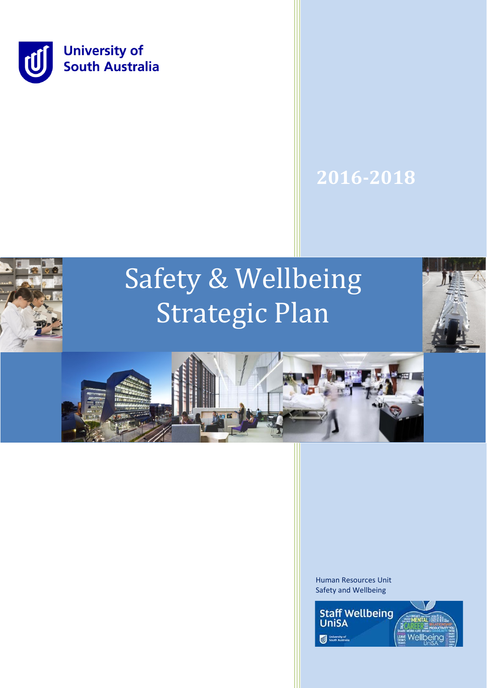

# **2016-2018**

# Safety & Wellbeing Strategic Plan





Human Resources Unit Safety and Wellbeing

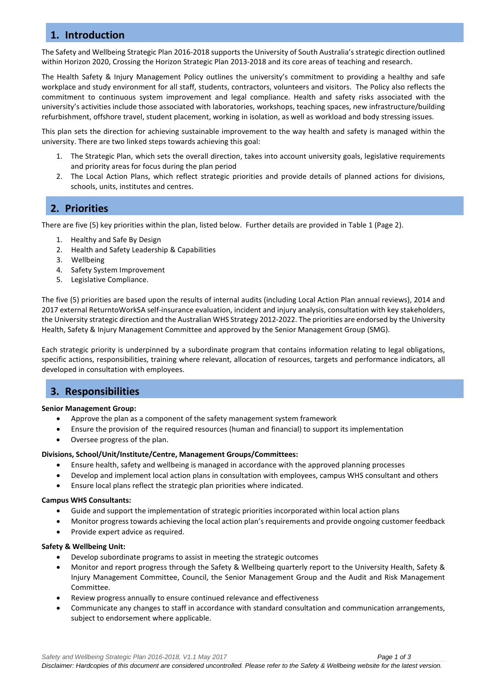# **1. Introduction**

The Safety and Wellbeing Strategic Plan 2016-2018 supports the University of South Australia's strategic direction outlined within Horizon 2020, Crossing the Horizon Strategic Plan 2013-2018 and its core areas of teaching and research.

The Health Safety & Injury Management Policy outlines the university's commitment to providing a healthy and safe workplace and study environment for all staff, students, contractors, volunteers and visitors. The Policy also reflects the commitment to continuous system improvement and legal compliance. Health and safety risks associated with the university's activities include those associated with laboratories, workshops, teaching spaces, new infrastructure/building refurbishment, offshore travel, student placement, working in isolation, as well as workload and body stressing issues.

This plan sets the direction for achieving sustainable improvement to the way health and safety is managed within the university. There are two linked steps towards achieving this goal:

- 1. The Strategic Plan, which sets the overall direction, takes into account university goals, legislative requirements and priority areas for focus during the plan period
- 2. The Local Action Plans, which reflect strategic priorities and provide details of planned actions for divisions, schools, units, institutes and centres.

# **2. Priorities**

There are five (5) key priorities within the plan, listed below. Further details are provided in Table 1 (Page 2).

- 1. Healthy and Safe By Design
- 2. Health and Safety Leadership & Capabilities
- 3. Wellbeing
- 4. Safety System Improvement
- 5. Legislative Compliance.

The five (5) priorities are based upon the results of internal audits (including Local Action Plan annual reviews), 2014 and 2017 external ReturntoWorkSA self-insurance evaluation, incident and injury analysis, consultation with key stakeholders, the University strategic direction and the Australian WHS Strategy 2012-2022. The priorities are endorsed by the University Health, Safety & Injury Management Committee and approved by the Senior Management Group (SMG).

Each strategic priority is underpinned by a subordinate program that contains information relating to legal obligations, specific actions, responsibilities, training where relevant, allocation of resources, targets and performance indicators, all developed in consultation with employees.

# **3. Responsibilities**

### **Senior Management Group:**

- Approve the plan as a component of the safety management system framework
- Ensure the provision of the required resources (human and financial) to support its implementation
- Oversee progress of the plan.

### **Divisions, School/Unit/Institute/Centre, Management Groups/Committees:**

- Ensure health, safety and wellbeing is managed in accordance with the approved planning processes
- Develop and implement local action plans in consultation with employees, campus WHS consultant and others
- Ensure local plans reflect the strategic plan priorities where indicated.

### **Campus WHS Consultants:**

- Guide and support the implementation of strategic priorities incorporated within local action plans
- Monitor progress towards achieving the local action plan's requirements and provide ongoing customer feedback
- Provide expert advice as required.

### **Safety & Wellbeing Unit:**

- Develop subordinate programs to assist in meeting the strategic outcomes
- Monitor and report progress through the Safety & Wellbeing quarterly report to the University Health, Safety & Injury Management Committee, Council, the Senior Management Group and the Audit and Risk Management Committee.
- Review progress annually to ensure continued relevance and effectiveness
- Communicate any changes to staff in accordance with standard consultation and communication arrangements, subject to endorsement where applicable.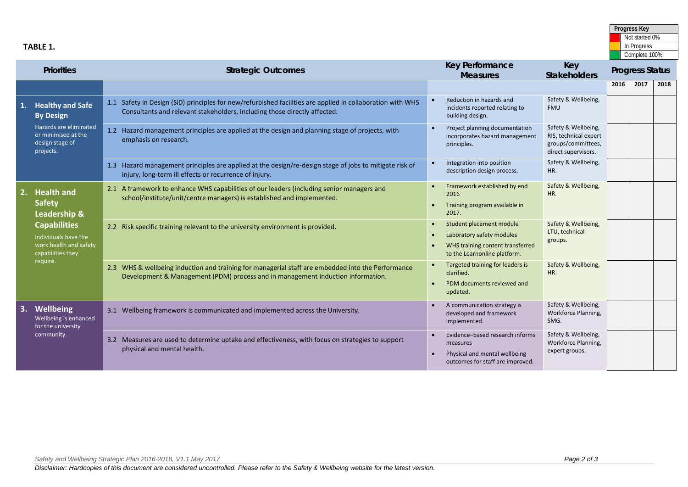| trategies to support | Evidence-based research informs<br>٠<br>measures<br>Physical and mental wellbeing<br>$\bullet$<br>outcomes for staff are improved. | safety & wellbeing,<br>Workforce Planning,<br>expert groups. |  |
|----------------------|------------------------------------------------------------------------------------------------------------------------------------|--------------------------------------------------------------|--|
|                      |                                                                                                                                    |                                                              |  |
|                      |                                                                                                                                    |                                                              |  |
|                      |                                                                                                                                    |                                                              |  |

| <b>Priorities</b> |                                                                                                                                                              | <b>Strategic Outcomes</b>                                                                                                                                                               |           | <b>Key Performance</b><br><b>Measures</b>                                                                                 | Key<br><b>Stakeholders</b>                                                                | <b>Progress Status</b> |      |      |
|-------------------|--------------------------------------------------------------------------------------------------------------------------------------------------------------|-----------------------------------------------------------------------------------------------------------------------------------------------------------------------------------------|-----------|---------------------------------------------------------------------------------------------------------------------------|-------------------------------------------------------------------------------------------|------------------------|------|------|
|                   |                                                                                                                                                              |                                                                                                                                                                                         |           |                                                                                                                           |                                                                                           | 2016                   | 2017 | 2018 |
|                   | <b>Healthy and Safe</b><br><b>By Design</b>                                                                                                                  | 1.1 Safety in Design (SiD) principles for new/refurbished facilities are applied in collaboration with WHS<br>Consultants and relevant stakeholders, including those directly affected. |           | Reduction in hazards and<br>incidents reported relating to<br>building design.                                            | Safety & Wellbeing,<br><b>FMU</b>                                                         |                        |      |      |
|                   | Hazards are eliminated<br>or minimised at the<br>design stage of<br>projects.                                                                                | 1.2 Hazard management principles are applied at the design and planning stage of projects, with<br>emphasis on research.                                                                |           | Project planning documentation<br>incorporates hazard management<br>principles.                                           | Safety & Wellbeing,<br>RIS, technical expert<br>groups/committees,<br>direct supervisors. |                        |      |      |
|                   |                                                                                                                                                              | 1.3 Hazard management principles are applied at the design/re-design stage of jobs to mitigate risk of<br>injury, long-term ill effects or recurrence of injury.                        |           | Integration into position<br>description design process.                                                                  | Safety & Wellbeing,<br>HR.                                                                |                        |      |      |
|                   | <b>Health and</b><br><b>Safety</b><br>Leadership &<br><b>Capabilities</b><br>Individuals have the<br>work health and safety<br>capabilities they<br>require. | 2.1 A framework to enhance WHS capabilities of our leaders (including senior managers and<br>school/institute/unit/centre managers) is established and implemented.                     |           | Framework established by end<br>2016<br>Training program available in<br>2017.                                            | Safety & Wellbeing,<br>HR.                                                                |                        |      |      |
|                   |                                                                                                                                                              | 2.2 Risk specific training relevant to the university environment is provided.                                                                                                          | $\bullet$ | Student placement module<br>Laboratory safety modules<br>WHS training content transferred<br>to the Learnonline platform. | Safety & Wellbeing,<br>LTU, technical<br>groups.                                          |                        |      |      |
|                   |                                                                                                                                                              | 2.3 WHS & wellbeing induction and training for managerial staff are embedded into the Performance<br>Development & Management (PDM) process and in management induction information.    |           | Targeted training for leaders is<br>clarified.<br>PDM documents reviewed and<br>updated.                                  | Safety & Wellbeing,<br>HR.                                                                |                        |      |      |
|                   | Wellbeing<br>Wellbeing is enhanced<br>for the university<br>community.                                                                                       | 3.1 Wellbeing framework is communicated and implemented across the University.                                                                                                          |           | A communication strategy is<br>developed and framework<br>implemented.                                                    | Safety & Wellbeing,<br>Workforce Planning,<br>SMG.                                        |                        |      |      |
|                   |                                                                                                                                                              | 3.2 Measures are used to determine uptake and effectiveness, with focus on strategies to support<br>physical and mental health.                                                         |           | Evidence-based research informs<br>measures<br>Physical and mental wellbeing<br>outcomes for staff are improved.          | Safety & Wellbeing,<br>Workforce Planning,<br>expert groups.                              |                        |      |      |

**Progress Key** Not started 0% In Progress Complete 100%